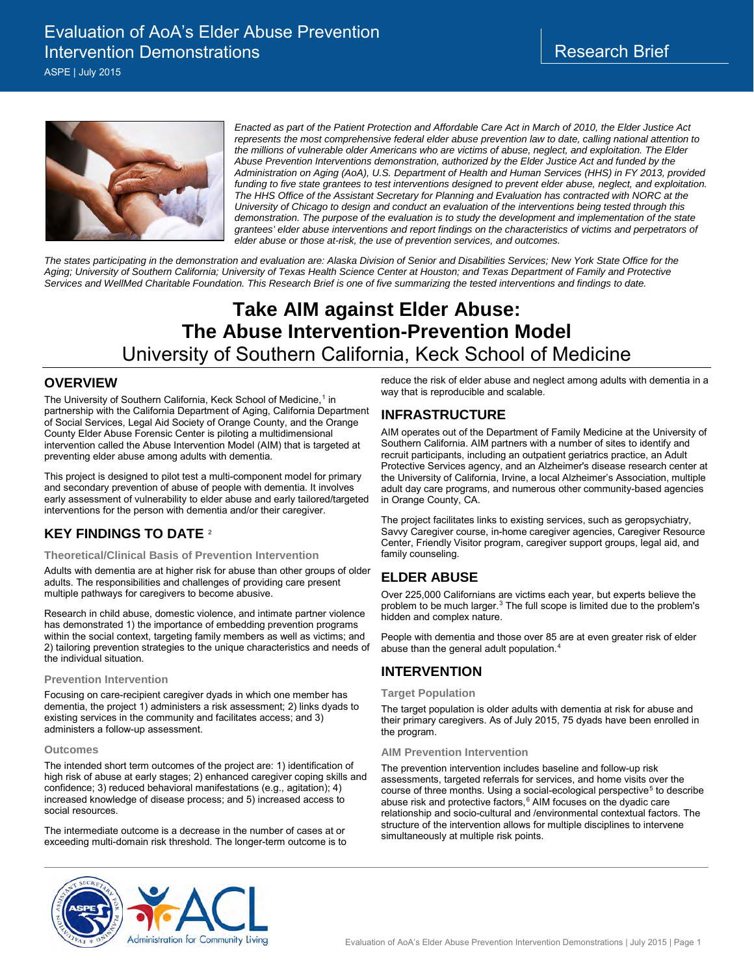ASPE | July 2015



*Enacted as part of the Patient Protection and Affordable Care Act in March of 2010, the Elder Justice Act represents the most comprehensive federal elder abuse prevention law to date, calling national attention to the millions of vulnerable older Americans who are victims of abuse, neglect, and exploitation. The Elder Abuse Prevention Interventions demonstration, authorized by the Elder Justice Act and funded by the Administration on Aging (AoA), U.S. Department of Health and Human Services (HHS) in FY 2013, provided funding to five state grantees to test interventions designed to prevent elder abuse, neglect, and exploitation. The HHS Office of the Assistant Secretary for Planning and Evaluation has contracted with NORC at the University of Chicago to design and conduct an evaluation of the interventions being tested through this demonstration. The purpose of the evaluation is to study the development and implementation of the state grantees' elder abuse interventions and report findings on the characteristics of victims and perpetrators of elder abuse or those at-risk, the use of prevention services, and outcomes.* 

*The states participating in the demonstration and evaluation are: Alaska Division of Senior and Disabilities Services; New York State Office for the Aging; University of Southern California; University of Texas Health Science Center at Houston; and Texas Department of Family and Protective Services and WellMed Charitable Foundation. This Research Brief is one of five summarizing the tested interventions and findings to date.*

# **Take AIM against Elder Abuse: The Abuse Intervention-Prevention Model** University of Southern California, Keck School of Medicine

### **OVERVIEW**

The University of Southern California, Keck School of Medicine,<sup>[1](#page-1-0)</sup> in partnership with the California Department of Aging, California Department of Social Services, Legal Aid Society of Orange County, and the Orange County Elder Abuse Forensic Center is piloting a multidimensional intervention called the Abuse Intervention Model (AIM) that is targeted at preventing elder abuse among adults with dementia.

This project is designed to pilot test a multi-component model for primary and secondary prevention of abuse of people with dementia. It involves early assessment of vulnerability to elder abuse and early tailored/targeted interventions for the person with dementia and/or their caregiver.

# **KEY FINDINGS TO DATE** [2](#page-1-1)

#### **Theoretical/Clinical Basis of Prevention Intervention**

Adults with dementia are at higher risk for abuse than other groups of older adults. The responsibilities and challenges of providing care present multiple pathways for caregivers to become abusive.

Research in child abuse, domestic violence, and intimate partner violence has demonstrated 1) the importance of embedding prevention programs within the social context, targeting family members as well as victims; and 2) tailoring prevention strategies to the unique characteristics and needs of the individual situation.

#### **Prevention Intervention**

Focusing on care-recipient caregiver dyads in which one member has dementia, the project 1) administers a risk assessment; 2) links dyads to existing services in the community and facilitates access; and 3) administers a follow-up assessment.

#### **Outcomes**

The intended short term outcomes of the project are: 1) identification of high risk of abuse at early stages; 2) enhanced caregiver coping skills and confidence; 3) reduced behavioral manifestations (e.g., agitation); 4) increased knowledge of disease process; and 5) increased access to social resources.

The intermediate outcome is a decrease in the number of cases at or exceeding multi-domain risk threshold. The longer-term outcome is to reduce the risk of elder abuse and neglect among adults with dementia in a way that is reproducible and scalable.

# **INFRASTRUCTURE**

AIM operates out of the Department of Family Medicine at the University of Southern California. AIM partners with a number of sites to identify and recruit participants, including an outpatient geriatrics practice, an Adult Protective Services agency, and an Alzheimer's disease research center at the University of California, Irvine, a local Alzheimer's Association, multiple adult day care programs, and numerous other community-based agencies in Orange County, CA.

The project facilitates links to existing services, such as geropsychiatry, Savvy Caregiver course, in-home caregiver agencies, Caregiver Resource Center, Friendly Visitor program, caregiver support groups, legal aid, and family counseling.

# **ELDER ABUSE**

Over 225,000 Californians are victims each year, but experts believe the problem to be much larger.<sup>[3](#page-1-2)</sup> The full scope is limited due to the problem's hidden and complex nature.

People with dementia and those over 85 are at even greater risk of elder abuse than the general adult population.<sup>[4](#page-1-3)</sup>

### **INTERVENTION**

#### **Target Population**

The target population is older adults with dementia at risk for abuse and their primary caregivers. As of July 2015, 75 dyads have been enrolled in the program.

#### **AIM Prevention Intervention**

The prevention intervention includes baseline and follow-up risk assessments, targeted referrals for services, and home visits over the course of three months. Using a social-ecological perspective<sup>[5](#page-1-4)</sup> to describe abuse risk and protective factors,<sup>[6](#page-1-5)</sup> AIM focuses on the dyadic care relationship and socio-cultural and /environmental contextual factors. The structure of the intervention allows for multiple disciplines to intervene simultaneously at multiple risk points.